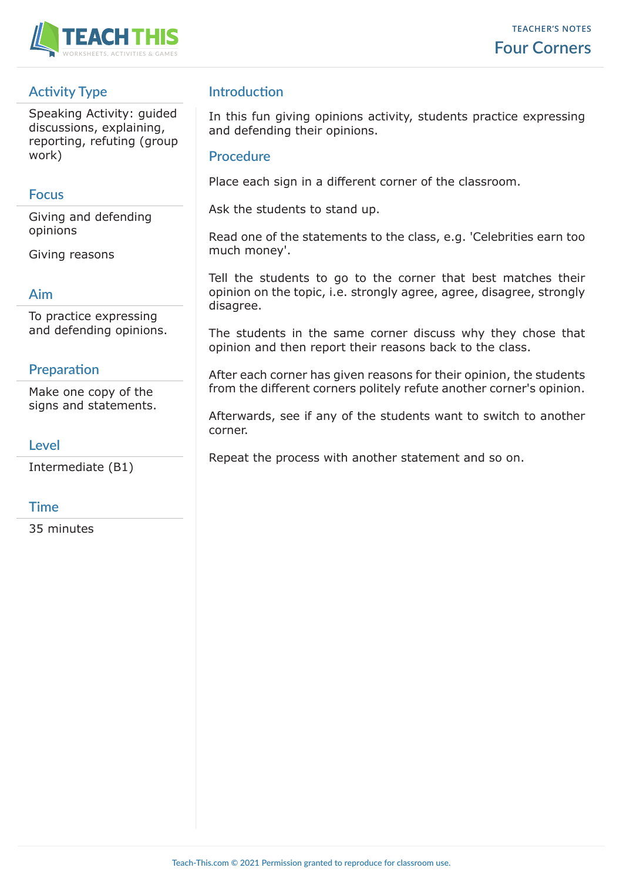

### **Activity Type**

Speaking Activity: guided discussions, explaining, reporting, refuting (group work)

### **Focus**

Giving and defending opinions

Giving reasons

### **Aim**

To practice expressing and defending opinions.

### **Preparation**

Make one copy of the signs and statements.

### **Level**

Intermediate (B1)

### **Time**

35 minutes

### **Introduction**

In this fun giving opinions activity, students practice expressing and defending their opinions.

### **Procedure**

Place each sign in a different corner of the classroom.

Ask the students to stand up.

Read one of the statements to the class, e.g. 'Celebrities earn too much money'.

Tell the students to go to the corner that best matches their opinion on the topic, i.e. strongly agree, agree, disagree, strongly disagree.

The students in the same corner discuss why they chose that opinion and then report their reasons back to the class.

After each corner has given reasons for their opinion, the students from the different corners politely refute another corner's opinion.

Afterwards, see if any of the students want to switch to another corner.

Repeat the process with another statement and so on.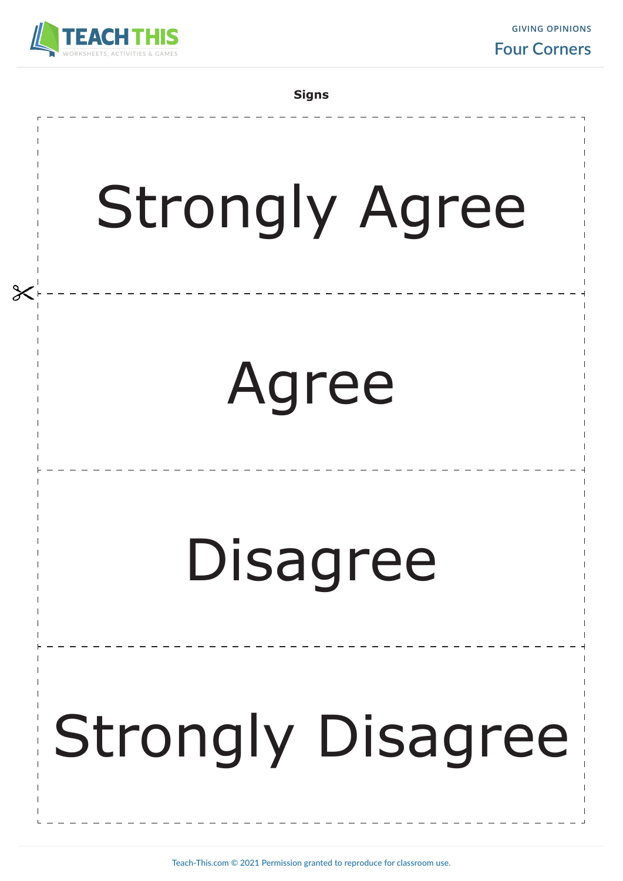

**GIVING OPINIONS Four Corners**

**Signs**

# Strongly Agree

## Agree

## Disagree

## Strongly Disagree